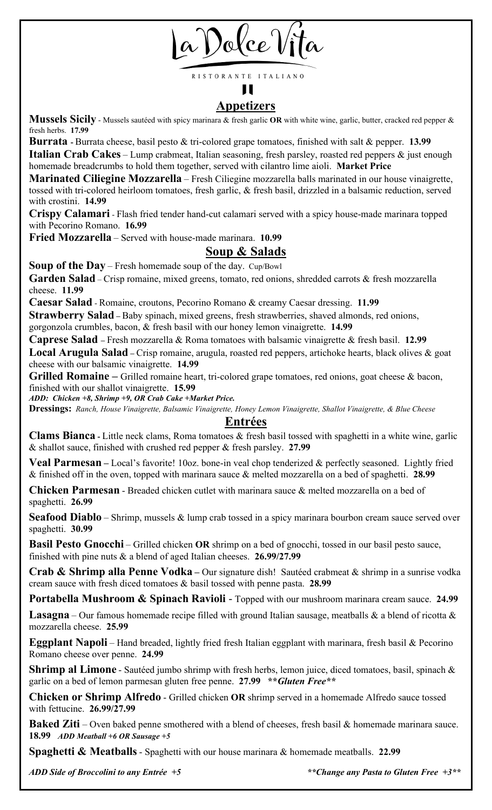

RISTORANTE ITALIANO Ш

# **Appetizers**

**Mussels Sicily** - Mussels sautéed with spicy marinara & fresh garlic **OR** with white wine, garlic, butter, cracked red pepper & fresh herbs. **17.99**

**Burrata -** Burrata cheese, basil pesto & tri-colored grape tomatoes, finished with salt & pepper. **13.99 Italian Crab Cakes** – Lump crabmeat, Italian seasoning, fresh parsley, roasted red peppers & just enough homemade breadcrumbs to hold them together, served with cilantro lime aioli. **Market Price**

**Marinated Ciliegine Mozzarella** – Fresh Ciliegine mozzarella balls marinated in our house vinaigrette, tossed with tri-colored heirloom tomatoes, fresh garlic, & fresh basil, drizzled in a balsamic reduction, served with crostini. **14.99**

**Crispy Calamari** - Flash fried tender hand-cut calamari served with a spicy house-made marinara topped with Pecorino Romano. **16.99**

**Fried Mozzarella** – Served with house-made marinara. **10.99**

# **Soup & Salads**

**Soup of the Day** – Fresh homemade soup of the day. Cup/Bowl

Garden Salad – Crisp romaine, mixed greens, tomato, red onions, shredded carrots & fresh mozzarella cheese. **11.99**

**Caesar Salad** - Romaine, croutons, Pecorino Romano & creamy Caesar dressing. **11.99**

**Strawberry Salad** – Baby spinach, mixed greens, fresh strawberries, shaved almonds, red onions, gorgonzola crumbles, bacon, & fresh basil with our honey lemon vinaigrette. **14.99**

**Caprese Salad –** Fresh mozzarella & Roma tomatoes with balsamic vinaigrette & fresh basil. **12.99**

**Local Arugula Salad –** Crisp romaine, arugula, roasted red peppers, artichoke hearts, black olives & goat cheese with our balsamic vinaigrette. **14.99**

Grilled Romaine – Grilled romaine heart, tri-colored grape tomatoes, red onions, goat cheese & bacon, finished with our shallot vinaigrette. **15.99**

*ADD: Chicken +8, Shrimp +9, OR Crab Cake +Market Price.*

**Dressings:** *Ranch, House Vinaigrette, Balsamic Vinaigrette, Honey Lemon Vinaigrette, Shallot Vinaigrette, & Blue Cheese*

### **Entrées**

**Clams Bianca -** Little neck clams, Roma tomatoes & fresh basil tossed with spaghetti in a white wine, garlic & shallot sauce, finished with crushed red pepper & fresh parsley. **27.99**

**Veal Parmesan** – Local's favorite! 10oz. bone-in veal chop tenderized & perfectly seasoned. Lightly fried & finished off in the oven, topped with marinara sauce & melted mozzarella on a bed of spaghetti. **28.99**

**Chicken Parmesan** - Breaded chicken cutlet with marinara sauce & melted mozzarella on a bed of spaghetti. **26.99**

**Seafood Diablo** – Shrimp, mussels & lump crab tossed in a spicy marinara bourbon cream sauce served over spaghetti. **30.99**

**Basil Pesto Gnocchi** – Grilled chicken **OR** shrimp on a bed of gnocchi, tossed in our basil pesto sauce, finished with pine nuts & a blend of aged Italian cheeses. **26.99/27.99**

**Crab & Shrimp alla Penne Vodka –** Our signature dish! Sautéed crabmeat & shrimp in a sunrise vodka cream sauce with fresh diced tomatoes & basil tossed with penne pasta. **28.99**

**Portabella Mushroom & Spinach Ravioli** - Topped with our mushroom marinara cream sauce. **24.99**

**Lasagna** – Our famous homemade recipe filled with ground Italian sausage, meatballs  $\&$  a blend of ricotta  $\&$ mozzarella cheese. **25.99**

**Eggplant Napoli** – Hand breaded, lightly fried fresh Italian eggplant with marinara, fresh basil & Pecorino Romano cheese over penne. **24.99**

Shrimp al Limone - Sautéed jumbo shrimp with fresh herbs, lemon juice, diced tomatoes, basil, spinach & garlic on a bed of lemon parmesan gluten free penne. **27.99 \*\****Gluten Free\*\**

**Chicken or Shrimp Alfredo** - Grilled chicken **OR** shrimp served in a homemade Alfredo sauce tossed with fettucine. **26.99/27.99**

**Baked Ziti** – Oven baked penne smothered with a blend of cheeses, fresh basil & homemade marinara sauce. **18.99** *ADD Meatball +6 OR Sausage +5*

**Spaghetti & Meatballs**- Spaghetti with our house marinara & homemade meatballs. **22.99**

*ADD Side of Broccolini to any Entrée +5 \*\*Change any Pasta to Gluten Free +3\*\**